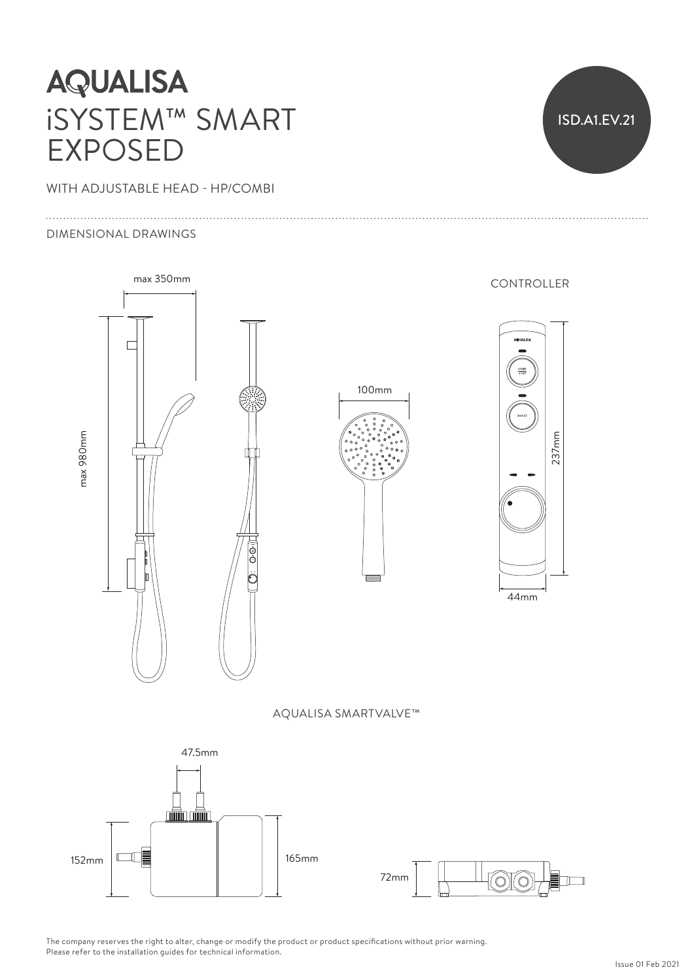# **AQUALISA** iSYSTEM™ SMART EXPOSED

WITH ADJUSTABLE HEAD - HP/COMBI

#### DIMENSIONAL DRAWINGS



The company reserves the right to alter, change or modify the product or product specifications without prior warning. Please refer to the installation guides for technical information.

ISD.A1.EV.21